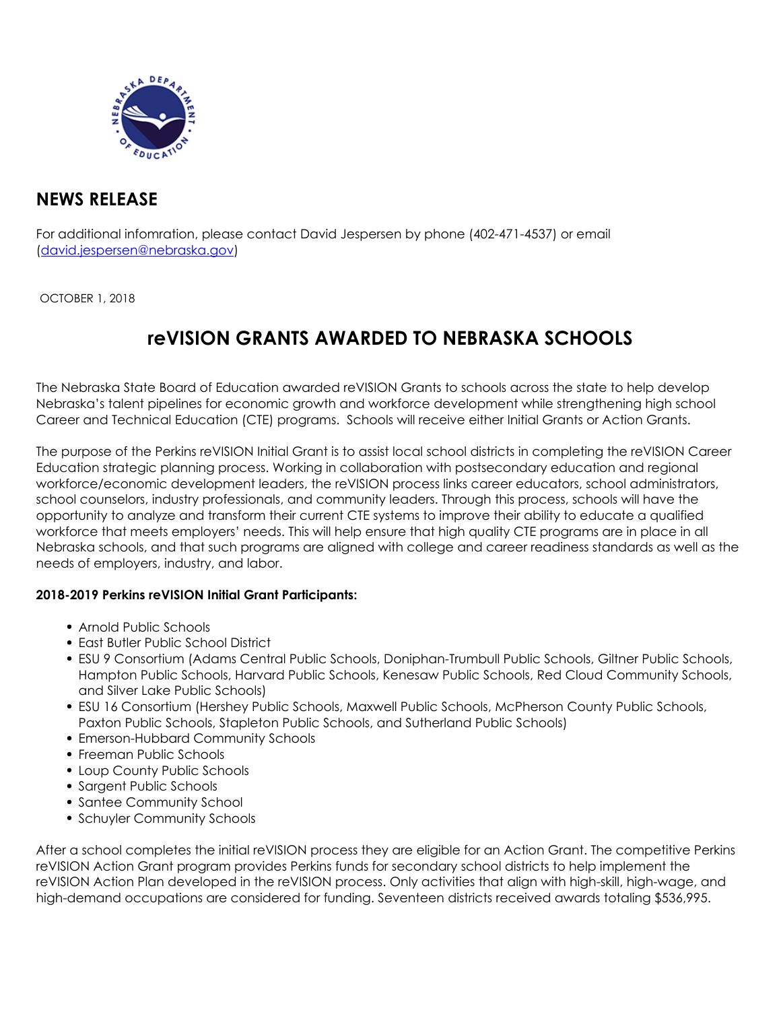

## **NEWS RELEASE**

For additional infomration, please contact David Jespersen by phone (402-471-4537) or email (david.jespersen@nebraska.gov)

OCTOBER 1, 2018

## **reVISION GRANTS AWARDED TO NEBRASKA SCHOOLS**

The Nebraska State Board of Education awarded reVISION Grants to schools across the state to help develop Nebraska's talent pipelines for economic growth and workforce development while strengthening high school Career and Technical Education (CTE) programs. Schools will receive either Initial Grants or Action Grants.

The purpose of the Perkins reVISION Initial Grant is to assist local school districts in completing the reVISION Career Education strategic planning process. Working in collaboration with postsecondary education and regional workforce/economic development leaders, the reVISION process links career educators, school administrators, school counselors, industry professionals, and community leaders. Through this process, schools will have the opportunity to analyze and transform their current CTE systems to improve their ability to educate a qualified workforce that meets employers' needs. This will help ensure that high quality CTE programs are in place in all Nebraska schools, and that such programs are aligned with college and career readiness standards as well as the needs of employers, industry, and labor.

## **2018-2019 Perkins reVISION Initial Grant Participants:**

- Arnold Public Schools
- East Butler Public School District
- ESU 9 Consortium (Adams Central Public Schools, Doniphan-Trumbull Public Schools, Giltner Public Schools, Hampton Public Schools, Harvard Public Schools, Kenesaw Public Schools, Red Cloud Community Schools, and Silver Lake Public Schools)
- ESU 16 Consortium (Hershey Public Schools, Maxwell Public Schools, McPherson County Public Schools, Paxton Public Schools, Stapleton Public Schools, and Sutherland Public Schools)
- Emerson-Hubbard Community Schools
- Freeman Public Schools
- Loup County Public Schools
- Sargent Public Schools
- Santee Community School
- Schuyler Community Schools

After a school completes the initial reVISION process they are eligible for an Action Grant. The competitive Perkins reVISION Action Grant program provides Perkins funds for secondary school districts to help implement the reVISION Action Plan developed in the reVISION process. Only activities that align with high-skill, high-wage, and high-demand occupations are considered for funding. Seventeen districts received awards totaling \$536,995.